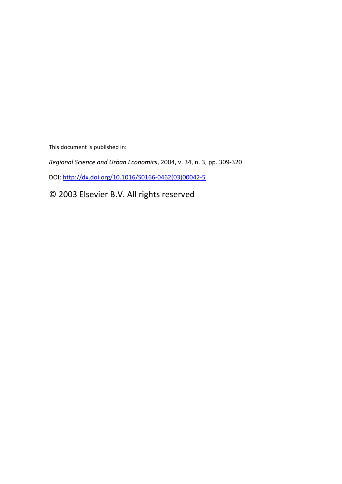This document is published in:

*Regional Science and Urban Economics*, 2004, v. 34, n. 3, pp. 309-320

DOI: [http://dx.doi.org/10.1016/S0166-0462\(03\)00042-5](http://dx.doi.org/10.1016/S0166-0462(03)00042-5)

© 2003 Elsevier B.V. All rights reserved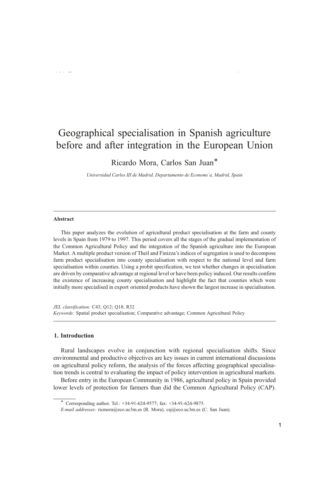# Geographical specialisation in Spanish agriculture before and after integration in the European Union

Ricardo Mora, Carlos San Juan\*

Universidad Carlos III de Madrid, Departamento de Economı´a, Madrid, Spain

#### Abstract

This paper analyzes the evolution of agricultural product specialisation at the farm and county levels in Spain from 1979 to 1997. This period covers all the stages of the gradual implementation of the Common Agricultural Policy and the integration of the Spanish agriculture into the European Market. A multiple product version of Theil and Finizza's indices of segregation is used to decompose farm product specialisation into county specialisation with respect to the national level and farm specialisation within counties. Using a probit specification, we test whether changes in specialisation are driven by comparative advantage at regional level or have been policy induced. Our results confirm the existence of increasing county specialisation and highlight the fact that counties which were initially more specialised in export oriented products have shown the largest increase in specialisation.

JEL classification: C43; Q12; Q18; R32 Keywords: Spatial product specialisation; Comparative advantage; Common Agricultural Policy

## 1. Introduction

Rural landscapes evolve in conjunction with regional specialisation shifts. Since environmental and productive objectives are key issues in current international discussions on agricultural policy reform, the analysis of the forces affecting geographical specialisation trends is central to evaluating the impact of policy intervention in agricultural markets.

Before entry in the European Community in 1986, agricultural policy in Spain provided lower levels of protection for farmers than did the Common Agricultural Policy (CAP).

<sup>\*</sup> Corresponding author. Tel.: +34-91-624-9577; fax: +34-91-624-9875.

E-mail addresses: ricmora@eco.uc3m.es (R. Mora), csj@eco.uc3m.es (C. San Juan).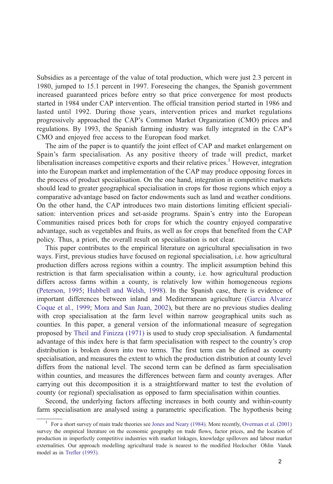Subsidies as a percentage of the value of total production, which were just 2.3 percent in 1980, jumped to 15.1 percent in 1997. Foreseeing the changes, the Spanish government increased guaranteed prices before entry so that price convergence for most products started in 1984 under CAP intervention. The official transition period started in 1986 and lasted until 1992. During those years, intervention prices and market regulations progressively approached the CAP's Common Market Organization (CMO) prices and regulations. By 1993, the Spanish farming industry was fully integrated in the CAP's CMO and enjoyed free access to the European food market.

The aim of the paper is to quantify the joint effect of CAP and market enlargement on Spain's farm specialisation. As any positive theory of trade will predict, market liberalisation increases competitive exports and their relative prices.<sup>1</sup> However, integration into the European market and implementation of the CAP may produce opposing forces in the process of product specialisation. On the one hand, integration in competitive markets should lead to greater geographical specialisation in crops for those regions which enjoy a comparative advantage based on factor endowments such as land and weather conditions. On the other hand, the CAP introduces two main distortions limiting efficient specialisation: intervention prices and set-aside programs. Spain's entry into the European Communities raised prices both for crops for which the country enjoyed comparative advantage, such as vegetables and fruits, as well as for crops that benefited from the CAP policy. Thus, a priori, the overall result on specialisation is not clear.

This paper contributes to the empirical literature on agricultural specialisation in two ways. First, previous studies have focused on regional specialisation, i.e. how agricultural production differs across regions within a country. The implicit assumption behind this restriction is that farm specialisation within a county, i.e. how agricultural production differs across farms within a county, is relatively low within homogeneous regions ([Peterson, 1995;](#page-12-0) [Hubbell and Welsh, 1998\)](#page-12-0). In the Spanish case, there is evidence of important differences between inland and Mediterranean agriculture ([Garcia Alvarez](#page-12-0) Coque et al., 1999; [Mora and San Juan, 2002\)](#page-12-0), but there are no previous studies dealing with crop specialisation at the farm level within narrow geographical units such as counties. In this paper, a general version of the informational measure of segregation proposed by [Theil and Finizza \(1971\)](#page-12-0) is used to study crop specialisation. A fundamental advantage of this index here is that farm specialisation with respect to the country's crop distribution is broken down into two terms. The first term can be defined as county specialisation, and measures the extent to which the production distribution at county level differs from the national level. The second term can be defined as farm specialisation within counties, and measures the differences between farm and county averages. After carrying out this decomposition it is a straightforward matter to test the evolution of county (or regional) specialisation as opposed to farm specialisation within counties.

Second, the underlying factors affecting increases in both county and within-county farm specialisation are analysed using a parametric specification. The hypothesis being

<sup>&</sup>lt;sup>1</sup> For a short survey of main trade theories see [Jones and Neary \(1984\).](#page-12-0) More recently, [Overman et al. \(2001\)](#page-12-0) survey the empirical literature on the economic geography on trade flows, factor prices, and the location of production in imperfectly competitive industries with market linkages, knowledge spillovers and labour market externalities. Our approach modelling agricultural trade is nearest to the modified Heckscher Ohlin Vanek model as in [Trefler \(1993\)](#page-12-0).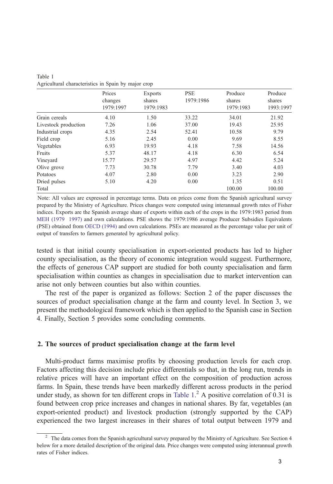|                      | Prices<br>changes<br>1979:1997 | Exports<br>shares<br>1979:1983 | <b>PSE</b><br>1979:1986 | Produce<br>shares<br>1979:1983 | Produce<br>shares<br>1993:1997 |
|----------------------|--------------------------------|--------------------------------|-------------------------|--------------------------------|--------------------------------|
| Grain cereals        | 4.10                           | 1.50                           | 33.22                   | 34.01                          | 21.92                          |
| Livestock production | 7.26                           | 1.06                           | 37.00                   | 19.43                          | 25.95                          |
| Industrial crops     | 4.35                           | 2.54                           | 52.41                   | 10.58                          | 9.79                           |
| Field crop           | 5.16                           | 2.45                           | 0.00                    | 9.69                           | 8.55                           |
| Vegetables           | 6.93                           | 19.93                          | 4.18                    | 7.58                           | 14.56                          |
| Fruits               | 5.37                           | 48.17                          | 4.18                    | 6.30                           | 6.54                           |
| Vineyard             | 15.77                          | 29.57                          | 4.97                    | 4.42                           | 5.24                           |
| Olive grove          | 7.73                           | 30.78                          | 7.79                    | 3.40                           | 4.03                           |
| Potatoes             | 4.07                           | 2.80                           | 0.00                    | 3.23                           | 2.90                           |
| Dried pulses         | 5.10                           | 4.20                           | 0.00                    | 1.35                           | 0.51                           |
| Total                |                                |                                |                         | 100.00                         | 100.00                         |

<span id="page-3-0"></span>Table 1 Agricultural characteristics in Spain by major crop

Note: All values are expressed in percentage terms. Data on prices come from the Spanish agricultural survey prepared by the Ministry of Agriculture. Prices changes were computed using interannual growth rates of Fisher indices. Exports are the Spanish average share of exports within each of the crops in the 1979:1983 period from MEH (1979 1997) [and own calculations. PSE shows the 1979:1986 average Producer Subsidies Equivalents](#page-12-0) (PSE) obtained from OECD (1994) [and own calculations. PSEs are measured as the percentage value per unit of](#page-12-0) output of transfers to farmers generated by agricultural policy.

tested is that initial county specialisation in export-oriented products has led to higher county specialisation, as the theory of economic integration would suggest. Furthermore, the effects of generous CAP support are studied for both county specialisation and farm specialisation within counties as changes in specialisation due to market intervention can arise not only between counties but also within counties.

The rest of the paper is organized as follows: Section 2 of the paper discusses the sources of product specialisation change at the farm and county level. In Section 3, we present the methodological framework which is then applied to the Spanish case in Section 4. Finally, Section 5 provides some concluding comments.

## 2. The sources of product specialisation change at the farm level

Multi-product farms maximise profits by choosing production levels for each crop. Factors affecting this decision include price differentials so that, in the long run, trends in relative prices will have an important effect on the composition of production across farms. In Spain, these trends have been markedly different across products in the period under study, as shown for ten different crops in Table  $1<sup>2</sup>$  A positive correlation of 0.31 is found between crop price increases and changes in national shares. By far, vegetables (an export-oriented product) and livestock production (strongly supported by the CAP) experienced the two largest increases in their shares of total output between 1979 and

<sup>&</sup>lt;sup>2</sup> The data comes from the Spanish agricultural survey prepared by the Ministry of Agriculture. See Section 4 below for a more detailed description of the original data. Price changes were computed using interannual growth rates of Fisher indices.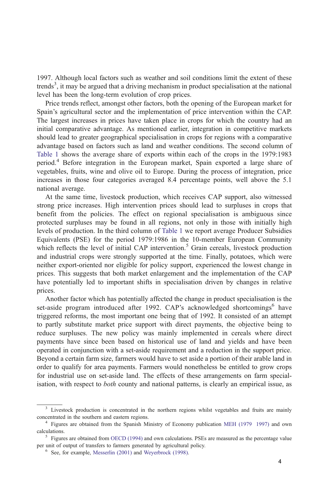1997. Although local factors such as weather and soil conditions limit the extent of these trends<sup>3</sup>, it may be argued that a driving mechanism in product specialisation at the national level has been the long-term evolution of crop prices.

Price trends reflect, amongst other factors, both the opening of the European market for Spain's agricultural sector and the implementation of price intervention within the CAP. The largest increases in prices have taken place in crops for which the country had an initial comparative advantage. As mentioned earlier, integration in competitive markets should lead to greater geographical specialisation in crops for regions with a comparative advantage based on factors such as land and weather conditions. The second column of [Table 1](#page-3-0) shows the average share of exports within each of the crops in the 1979:1983 period.<sup>4</sup> Before integration in the European market, Spain exported a large share of vegetables, fruits, wine and olive oil to Europe. During the process of integration, price increases in those four categories averaged 8.4 percentage points, well above the 5.1 national average.

At the same time, livestock production, which receives CAP support, also witnessed strong price increases. High intervention prices should lead to surpluses in crops that benefit from the policies. The effect on regional specialisation is ambiguous since protected surpluses may be found in all regions, not only in those with initially high levels of production. In the third column of [Table 1](#page-3-0) we report average Producer Subsidies Equivalents (PSE) for the period 1979:1986 in the 10-member European Community which reflects the level of initial CAP intervention.<sup>5</sup> Grain cereals, livestock production and industrial crops were strongly supported at the time. Finally, potatoes, which were neither export-oriented nor eligible for policy support, experienced the lowest change in prices. This suggests that both market enlargement and the implementation of the CAP have potentially led to important shifts in specialisation driven by changes in relative prices.

Another factor which has potentially affected the change in product specialisation is the set-aside program introduced after 1992. CAP's acknowledged shortcomings<sup>6</sup> have triggered reforms, the most important one being that of 1992. It consisted of an attempt to partly substitute market price support with direct payments, the objective being to reduce surpluses. The new policy was mainly implemented in cereals where direct payments have since been based on historical use of land and yields and have been operated in conjunction with a set-aside requirement and a reduction in the support price. Beyond a certain farm size, farmers would have to set aside a portion of their arable land in order to qualify for area payments. Farmers would nonetheless be entitled to grow crops for industrial use on set-aside land. The effects of these arrangements on farm specialisation, with respect to *both* county and national patterns, is clearly an empirical issue, as

<sup>&</sup>lt;sup>3</sup> Livestock production is concentrated in the northern regions whilst vegetables and fruits are mainly concentrated in the southern and eastern regions. <sup>4</sup> Figures are obtained from the Spanish Ministry of Economy publication [MEH \(1979 1997\)](#page-12-0) and own

calculations. <sup>5</sup> Figures are obtained from [OECD \(1994\)](#page-12-0) and own calculations. PSEs are measured as the percentage value

per unit of output of transfers to farmers generated by agricultural policy. <sup>6</sup> See, for example, [Messerlin \(2001\)](#page-12-0) and [Weyerbrock \(1998\).](#page-12-0)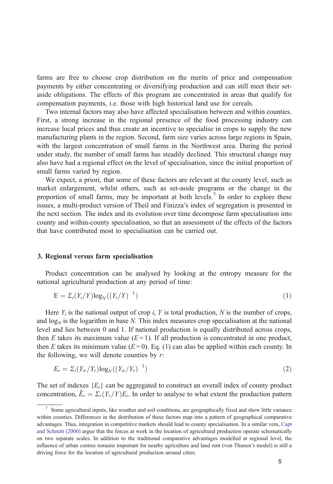farms are free to choose crop distribution on the merits of price and compensation payments by either concentrating or diversifying production and can still meet their setaside obligations. The effects of this program are concentrated in areas that qualify for compensation payments, i.e. those with high historical land use for cereals.

Two internal factors may also have affected specialisation between and within counties. First, a strong increase in the regional presence of the food processing industry can increase local prices and thus create an incentive to specialise in crops to supply the new manufacturing plants in the region. Second, farm size varies across large regions in Spain, with the largest concentration of small farms in the Northwest area. During the period under study, the number of small farms has steadily declined. This structural change may also have had a regional effect on the level of specialisation, since the initial proportion of small farms varied by region.

We expect, a priori, that some of these factors are relevant at the county level, such as market enlargement, whilst others, such as set-aside programs or the change in the proportion of small farms, may be important at both levels.<sup>7</sup> In order to explore these issues, a multi-product version of Theil and Finizza's index of segregation is presented in the next section. The index and its evolution over time decompose farm specialisation into county and within-county specialisation, so that an assessment of the effects of the factors that have contributed most to specialisation can be carried out.

## 3. Regional versus farm specialisation

Product concentration can be analysed by looking at the entropy measure for the national agricultural production at any period of time:

$$
E = \Sigma_i(Y_i/Y) \log_N((Y_i/Y)^{-1})
$$
\n(1)

Here  $Y_i$  is the national output of crop i, Y is total production, N is the number of crops, and  $\log_N$  is the logarithm in base N. This index measures crop specialisation at the national level and lies between 0 and 1. If national production is equally distributed across crops, then E takes its maximum value  $(E=1)$ . If all production is concentrated in one product, then E takes its minimum value  $(E=0)$ . Eq. (1) can also be applied within each county. In the following, we will denote counties by  $r$ :

$$
E_r = \Sigma_i (Y_{ir}/Y_r) \log_N((Y_{ir}/Y_r)^{-1})
$$
\n(2)

The set of indexes  ${E<sub>r</sub>}$  can be aggregated to construct an overall index of county product concentration,  $\hat{E}_r = \sum_r (Y_r/Y)E_r$ . In order to analyse to what extent the production pattern

<sup>7</sup> Some agricultural inputs, like weather and soil conditions, are geographically fixed and show little variance within counties. Differences in the distribution of these factors map into a pattern of geographical comparative advantages. Thus, integration in competitive markets should lead to county specialisation. In a similar vein, [Capt](#page-12-0) and Schmitt (2000) argue that the forces at work in the location of agricultural production operate schematically on two separate scales. In addition to the traditional comparative advantages modelled at regional level, the influence of urban centres remains important for nearby agriculture and land rent (von Thunen's model) is still a driving force for the location of agricultural production around cities.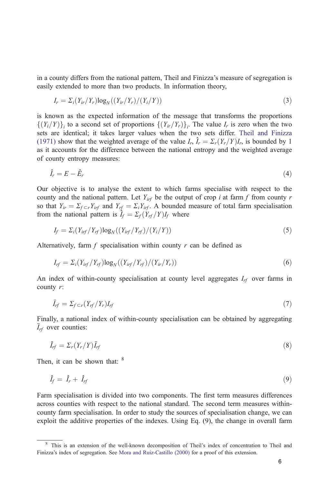in a county differs from the national pattern, Theil and Finizza's measure of segregation is easily extended to more than two products. In information theory,

$$
I_r = \Sigma_i (Y_{ir}/Y_r) \log_N((Y_{ir}/Y_r)/(Y_i/Y)) \tag{3}
$$

is known as the expected information of the message that transforms the proportions  $\{(Y_i/Y)\}_i$  to a second set of proportions  $\{(Y_{ir}/Y_r)\}_i$ . The value  $I_r$  is zero when the two sets are identical; it takes larger values when the two sets differ. [Theil and Finizza](#page-12-0) (1971) show that the weighted average of the value  $I_r$ ,  $\hat{I}_r = \sum_r (Y_r/Y)I_r$ , is bounded by 1 as it accounts for the difference between the national entropy and the weighted average of county entropy measures:

$$
\hat{I}_r = E - \hat{E}_r \tag{4}
$$

Our objective is to analyse the extent to which farms specialise with respect to the county and the national pattern. Let  $Y_{irf}$  be the output of crop *i* at farm *f* from county *r* so that  $Y_{ir} = \sum_{f \subset r} Y_{irf}$  and  $Y_{rf} = \sum_i Y_{irf}$ . A bounded measure of total farm specialisation from the national pattern is  $\hat{I}_f = \sum_f (Y_{rf}/Y)I_f$  where

$$
I_f = \Sigma_i (Y_{irf}/Y_{rf}) \log_N((Y_{irf}/Y_{rf})/(Y_i/Y))
$$
\n(5)

Alternatively, farm  $f$  specialisation within county  $r$  can be defined as

$$
I_{rf} = \Sigma_i (Y_{irf}/Y_{rf}) \log_N((Y_{irf}/Y_{rf})/(Y_{ir}/Y_r))
$$
\n(6)

An index of within-county specialisation at county level aggregates  $I_{rf}$  over farms in county r:

$$
\ddot{I}_{rf} = \Sigma_{f \subset r} (Y_{rf}/Y_r) I_{rf} \tag{7}
$$

Finally, a national index of within-county specialisation can be obtained by aggregating  $I_{rf}$  over counties:

$$
\hat{I}_{rf} = \Sigma_r (Y_r / Y) \hat{I}_{rf} \tag{8}
$$

Then, it can be shown that: <sup>8</sup>

$$
\hat{I}_f = \hat{I}_r + \hat{I}_{rf} \tag{9}
$$

Farm specialisation is divided into two components. The first term measures differences across counties with respect to the national standard. The second term measures withincounty farm specialisation. In order to study the sources of specialisation change, we can exploit the additive properties of the indexes. Using Eq. (9), the change in overall farm

<sup>8</sup> This is an extension of the well-known decomposition of Theil's index of concentration to Theil and Finizza's index of segregation. See [Mora and Ruiz-Castillo \(2000\)](#page-12-0) for a proof of this extension.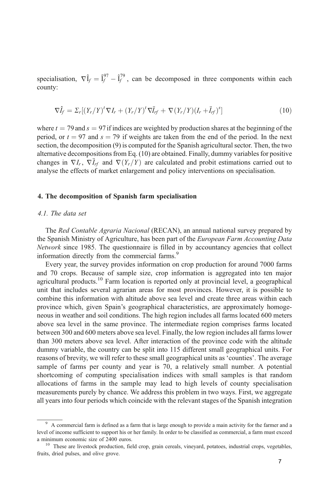specialisation,  $\nabla \hat{I}_f = \hat{I}_f^{97} - \hat{I}_f^{79}$ , can be decomposed in three components within each county:

$$
\nabla \hat{I}_f = \Sigma_r [(Y_r/Y)^t \nabla I_r + (Y_r/Y)^t \nabla \hat{I}_{rf} + \nabla (Y_r/Y)(I_r + \hat{I}_{rf})^s]
$$
(10)

where  $t = 79$  and  $s = 97$  if indices are weighted by production shares at the beginning of the period, or  $t = 97$  and  $s = 79$  if weights are taken from the end of the period. In the next section, the decomposition (9) is computed for the Spanish agricultural sector. Then, the two alternative decompositions from Eq. (10) are obtained. Finally, dummy variables for positive changes in  $\nabla I_r$ ,  $\nabla \ddot{I}_{rf}$  and  $\nabla (Y_r/Y)$  are calculated and probit estimations carried out to analyse the effects of market enlargement and policy interventions on specialisation.

## 4. The decomposition of Spanish farm specialisation

## 4.1. The data set

The Red Contable Agraria Nacional (RECAN), an annual national survey prepared by the Spanish Ministry of Agriculture, has been part of the European Farm Accounting Data Network since 1985. The questionnaire is filled in by accountancy agencies that collect information directly from the commercial farms.<sup>9</sup>

Every year, the survey provides information on crop production for around 7000 farms and 70 crops. Because of sample size, crop information is aggregated into ten major agricultural products.<sup>10</sup> Farm location is reported only at provincial level, a geographical unit that includes several agrarian areas for most provinces. However, it is possible to combine this information with altitude above sea level and create three areas within each province which, given Spain's geographical characteristics, are approximately homogeneous in weather and soil conditions. The high region includes all farms located 600 meters above sea level in the same province. The intermediate region comprises farms located between 300 and 600 meters above sea level. Finally, the low region includes all farms lower than 300 meters above sea level. After interaction of the province code with the altitude dummy variable, the country can be split into 115 different small geographical units. For reasons of brevity, we will refer to these small geographical units as 'counties'. The average sample of farms per county and year is 70, a relatively small number. A potential shortcoming of computing specialisation indices with small samples is that random allocations of farms in the sample may lead to high levels of county specialisation measurements purely by chance. We address this problem in two ways. First, we aggregate all years into four periods which coincide with the relevant stages of the Spanish integration

<sup>9</sup> A commercial farm is defined as a farm that is large enough to provide a main activity for the farmer and a level of income sufficient to support his or her family. In order to be classified as commercial, a farm must exceed a minimum economic size of 2400 euros.

<sup>&</sup>lt;sup>10</sup> These are livestock production, field crop, grain cereals, vineyard, potatoes, industrial crops, vegetables, fruits, dried pulses, and olive grove.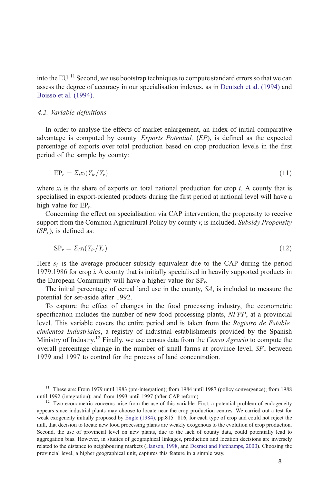into the EU.<sup>11</sup> Second, we use bootstrap techniques to compute standard errors so that we can assess the degree of accuracy in our specialisation indexes, as in [Deutsch et al. \(1994\)](#page-12-0) and [Boisso et al. \(1994\).](#page-11-0)

## 4.2. Variable definitions

In order to analyse the effects of market enlargement, an index of initial comparative advantage is computed by county. Exports Potential, (EP), is defined as the expected percentage of exports over total production based on crop production levels in the first period of the sample by county:

$$
EP_r = \Sigma_i x_i (Y_{ir}/Y_r) \tag{11}
$$

where  $x_i$  is the share of exports on total national production for crop *i*. A county that is specialised in export-oriented products during the first period at national level will have a high value for  $EP_r$ .

Concerning the effect on specialisation via CAP intervention, the propensity to receive support from the Common Agricultural Policy by county  $r$ , is included. Subsidy Propensity  $(SP_r)$ , is defined as:

$$
SP_r = \Sigma_i s_i (Y_{ir}/Y_r) \tag{12}
$$

Here  $s_i$  is the average producer subsidy equivalent due to the CAP during the period 1979:1986 for crop i. A county that is initially specialised in heavily supported products in the European Community will have a higher value for  $SP<sub>r</sub>$ .

The initial percentage of cereal land use in the county, SA, is included to measure the potential for set-aside after 1992.

To capture the effect of changes in the food processing industry, the econometric specification includes the number of new food processing plants, NFPP, at a provincial level. This variable covers the entire period and is taken from the Registro de Estable cimientos Industriales, a registry of industrial establishments provided by the Spanish Ministry of Industry.<sup>12</sup> Finally, we use census data from the *Censo Agrario* to compute the overall percentage change in the number of small farms at province level, SF, between 1979 and 1997 to control for the process of land concentration.

<sup>&</sup>lt;sup>11</sup> These are: From 1979 until 1983 (pre-integration); from 1984 until 1987 (policy convergence); from 1988 until 1992 (integration); and from 1993 until 1997 (after CAP reform).

 $12$  Two econometric concerns arise from the use of this variable. First, a potential problem of endogeneity appears since industrial plants may choose to locate near the crop production centres. We carried out a test for weak exogeneity initially proposed by [Engle \(1984\),](#page-12-0) pp.815 816, for each type of crop and could not reject the null, that decision to locate new food processing plants are weakly exogenous to the evolution of crop production. Second, the use of provincial level on new plants, due to the lack of county data, could potentially lead to aggregation bias. However, in studies of geographical linkages, production and location decisions are inversely related to the distance to neighbouring markets ([Hanson, 1998,](#page-12-0) and [Desmet and Fafchamps, 2000\)](#page-12-0). Choosing the provincial level, a higher geographical unit, captures this feature in a simple way.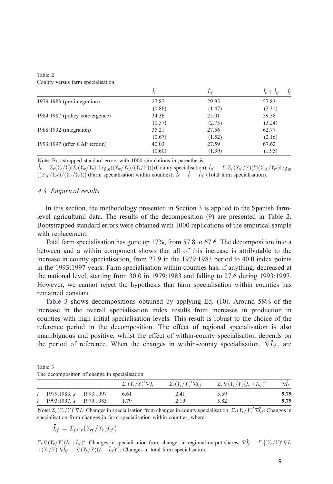<span id="page-9-0"></span>Table 2 County versus farm specialisation

|                                | $I_r$  | 1 <sub>rt</sub> | $I_r + I_{rf}$ |
|--------------------------------|--------|-----------------|----------------|
| 1979:1983 (pre-integration)    | 27.87  | 29.95           | 57.83          |
|                                | (0.86) | (1.47)          | (2.31)         |
| 1984:1987 (policy convergence) | 34.36  | 25.01           | 59.38          |
|                                | (0.57) | (2.73)          | (3.24)         |
| 1988:1992 (integration)        | 35.21  | 27.56           | 62.77          |
|                                | (0.67) | (1.52)          | (2.16)         |
| 1993:1997 (after CAP reform)   | 40.03  | 27.59           | 67.62          |
|                                | (0.60) | (1.39)          | (1.95)         |

Note: Bootstrapped standard errors with 1000 simulations in parenthesis.

 $\hat{I}_r = \sum_r (Y_r/Y) [\sum_i (Y_{ir}/Y_r) \log_{10}((Y_{ir}/Y_r)/(Y_i/Y))]$  (County specialisation);  $\hat{I}_{rf} = \sum_r \sum_f (Y_{rf}/Y) [\sum_i (Y_{ir}/Y_r) \log_{10}$  $\left(\frac{\gamma_{irf}}{\gamma_{irf}}/\gamma_{irf}\right)/\left(\frac{\gamma_{irf}}{\gamma_{irf}}\right)$  (Farm specialisation within counties);  $\hat{I}_f$   $\hat{I}_r + \hat{I}_{rf}$  (Total farm specialisation).

## 4.3. Empirical results

In this section, the methodology presented in Section 3 is applied to the Spanish farmlevel agricultural data. The results of the decomposition (9) are presented in Table 2. Bootstrapped standard errors were obtained with 1000 replications of the empirical sample with replacement.

Total farm specialisation has gone up 17%, from 57.8 to 67.6. The decomposition into a between and a within component shows that all of this increase is attributable to the increase in county specialisation, from 27.9 in the 1979:1983 period to 40.0 index points in the 1993:1997 years. Farm specialisation within counties has, if anything, decreased at the national level, starting from 30.0 in 1979:1983 and falling to 27.6 during 1993:1997. However, we cannot reject the hypothesis that farm specialisation within counties has remained constant.

Table 3 shows decompositions obtained by applying Eq. (10). Around 58% of the increase in the overall specialisation index results from increases in production in counties with high initial specialisation levels. This result is robust to the choice of the reference period in the decomposition. The effect of regional specialisation is also unambiguous and positive, whilst the effect of within-county specialisation depends on the period of reference. When the changes in within-county specialisation,  $\nabla \tilde{I}_{rf}$ , are

|   | The decomposition of change in specialization |  |                                |                                   |                                                         |              |  |  |
|---|-----------------------------------------------|--|--------------------------------|-----------------------------------|---------------------------------------------------------|--------------|--|--|
|   |                                               |  | $\Sigma_r(Y_r/Y)^t \nabla I_r$ | $\Sigma_r(Y_r/Y)^t \nabla I_{rf}$ | $\Sigma_r \nabla (Y_r/Y)(I_r+\tilde{I}_{\text{frf}})^s$ | $\nabla I_f$ |  |  |
|   | $t$ 1979:1983, s 1993:1997                    |  | 6.61                           | 2.41                              | 5.59                                                    | 9.79         |  |  |
| t | 1993:1997, s 1979:1983                        |  | 179                            | 2.19                              | 5.82                                                    | 9.79         |  |  |

Table 3 The decomposition of change in specialisation

Note:  $\Sigma_r(Y_r/Y)^t \nabla I_r$ : Changes in specialisation from changes in county specialisation.  $\Sigma_r(Y_r/Y)^t \nabla I_{r}$ : Changes in specialisation from changes in farm specialisation within counties, where

$$
\ddot{I}_{rf} = \Sigma_{f \subset r} (Y_{rf}/Y_r) I_{rf})
$$

 $\sum_r \nabla (Y_r/Y)(I_r + \ddot{I}_{rf})^s$ : Changes in specialisation from changes in regional output shares.  $\nabla \hat{I}_f = \sum_r [(Y_r/Y)^t \nabla I_r]$  $+(Y_r/Y)^t \nabla \vec{I}_{rf} + \nabla (Y_r/Y)(I_r + \vec{I}_{rf})^s$ : Changes in total farm specialisation.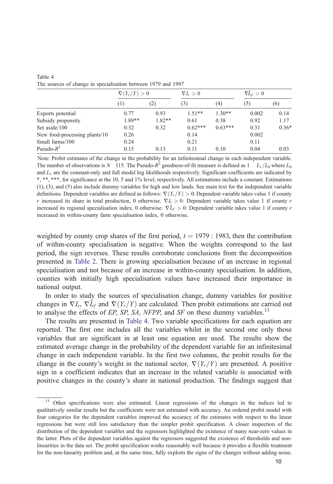Table 4 The sources of change in specialisation between 1979 and 1997

|                               | $\nabla (Y_r/Y)>0$ |                   | $\nabla I_r > 0$ |           | $\nabla I_{rf} > 0$ |         |
|-------------------------------|--------------------|-------------------|------------------|-----------|---------------------|---------|
|                               | (1)                | $\left( 2\right)$ | (3)              | (4)       | (5)                 | (6)     |
| Exports potential             | 0.77               | 0.93              | $1.51**$         | $1.30**$  | 0.002               | 0.14    |
| Subsidy propensity            | 1.89**             | $1.82**$          | 0.61             | 0.38      | 0.92                | 1.17    |
| Set aside/100                 | 0.32               | 0.32              | $0.62***$        | $0.63***$ | 0.31                | $0.36*$ |
| New food-processing plants/10 | 0.26               |                   | 0.14             |           | 0.002               |         |
| Small farms/100               | 0.24               |                   | 0.21             |           | 0.11                |         |
| Pseudo- $R^2$                 | 0.15               | 0.13              | 0.11             | 0.10      | 0.04                | 0.03    |

Note: Probit estimates of the change in the probability for an infinitesimal change in each independent variable. The number of observations is N 115. The Pseudo- $R^2$  goodness-of-fit measure is defined as  $1\qquad L_1/L_0$  where  $L_0$ and  $L_1$  are the constant-only and full model log likelihoods respectively. Significant coefficients are indicated by \*, \*\*, \*\*\*, for significance at the 10, 5 and 1% level, respectively. All estimations include a constant. Estimations (1), (3), and (5) also include dummy variables for high and low lands. See main text for the independent variable definitions. Dependent variables are defined as follows:  $\nabla (Y_r/Y) > 0$ : Dependent variable takes value 1 if county r increased its share in total production, 0 otherwise.  $\nabla I_r > 0$ : Dependent variable takes value 1 if county r increased its regional specialisation index, 0 otherwise.  $\nabla I_{rf} > 0$ : Dependent variable takes value 1 if county r increased its within-county farm specialisation index, 0 otherwise.

weighted by county crop shares of the first period,  $t = 1979 : 1983$ , then the contribution of within-county specialisation is negative. When the weights correspond to the last period, the sign reverses. These results corroborate conclusions from the decomposition presented in [Table 2.](#page-9-0) There is growing specialisation because of an increase in regional specialisation and not because of an increase in within-county specialisation. In addition, counties with initially high specialisation values have increased their importance in national output.

In order to study the sources of specialisation change, dummy variables for positive changes in  $\nabla I_r$ ,  $\nabla \ddot{I}_{rf}$  and  $\nabla (Y_r/Y)$  are calculated. Then probit estimations are carried out to analyse the effects of EP, SP, SA, NFPP, and SF on these dummy variables.<sup>13</sup>

The results are presented in Table 4. Two variable specifications for each equation are reported. The first one includes all the variables whilst in the second one only those variables that are significant in at least one equation are used. The results show the estimated average change in the probability of the dependent variable for an infinitesimal change in each independent variable. In the first two columns, the probit results for the change in the county's weight in the national sector,  $\nabla(Y_r/Y)$  are presented. A positive sign in a coefficient indicates that an increase in the related variable is associated with positive changes in the county's share in national production. The findings suggest that

<sup>&</sup>lt;sup>13</sup> Other specifications were also estimated. Linear regressions of the changes in the indices led to qualitatively similar results but the coefficients were not estimated with accuracy. An ordered probit model with four categories for the dependent variables improved the accuracy of the estimates with respect to the linear regressions but were still less satisfactory than the simpler probit specification. A closer inspection of the distribution of the dependent variables and the regressors highlighted the existence of many near-zero values in the latter. Plots of the dependent variables against the regressors suggested the existence of thresholds and nonlinearities in the data set. The probit specification works reasonably well because it provides a flexible treatment for the non-linearity problem and, at the same time, fully exploits the signs of the changes without adding noise.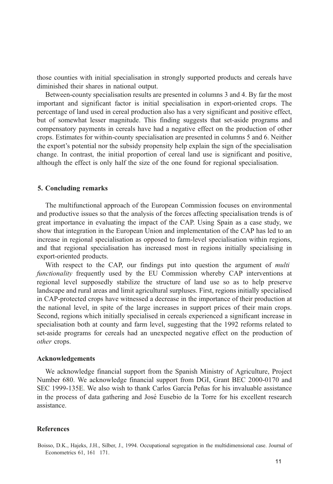<span id="page-11-0"></span>those counties with initial specialisation in strongly supported products and cereals have diminished their shares in national output.

Between-county specialisation results are presented in columns 3 and 4. By far the most important and significant factor is initial specialisation in export-oriented crops. The percentage of land used in cereal production also has a very significant and positive effect, but of somewhat lesser magnitude. This finding suggests that set-aside programs and compensatory payments in cereals have had a negative effect on the production of other crops. Estimates for within-county specialisation are presented in columns 5 and 6. Neither the export's potential nor the subsidy propensity help explain the sign of the specialisation change. In contrast, the initial proportion of cereal land use is significant and positive, although the effect is only half the size of the one found for regional specialisation.

## 5. Concluding remarks

The multifunctional approach of the European Commission focuses on environmental and productive issues so that the analysis of the forces affecting specialisation trends is of great importance in evaluating the impact of the CAP. Using Spain as a case study, we show that integration in the European Union and implementation of the CAP has led to an increase in regional specialisation as opposed to farm-level specialisation within regions, and that regional specialisation has increased most in regions initially specialising in export-oriented products.

With respect to the CAP, our findings put into question the argument of *multi* functionality frequently used by the EU Commission whereby CAP interventions at regional level supposedly stabilize the structure of land use so as to help preserve landscape and rural areas and limit agricultural surpluses. First, regions initially specialised in CAP-protected crops have witnessed a decrease in the importance of their production at the national level, in spite of the large increases in support prices of their main crops. Second, regions which initially specialised in cereals experienced a significant increase in specialisation both at county and farm level, suggesting that the 1992 reforms related to set-aside programs for cereals had an unexpected negative effect on the production of other crops.

## Acknowledgements

We acknowledge financial support from the Spanish Ministry of Agriculture, Project Number 680. We acknowledge financial support from DGI, Grant BEC 2000-0170 and SEC 1999-135E. We also wish to thank Carlos García Peñas for his invaluable assistance in the process of data gathering and Jose´ Eusebio de la Torre for his excellent research assistance.

## References

Boisso, D.K., Hajeks, J.H., Silber, J., 1994. Occupational segregation in the multidimensional case. Journal of Econometrics 61, 161 171.